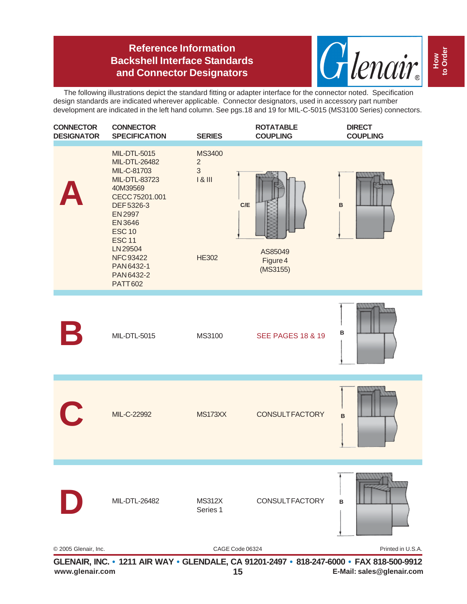## **Reference Information Backshell Interface Standards and Connector Designators**



The following illustrations depict the standard fitting or adapter interface for the connector noted. Specification design standards are indicated wherever applicable. Connector designators, used in accessory part number development are indicated in the left hand column. See pgs.18 and 19 for MIL-C-5015 (MS3100 Series) connectors.